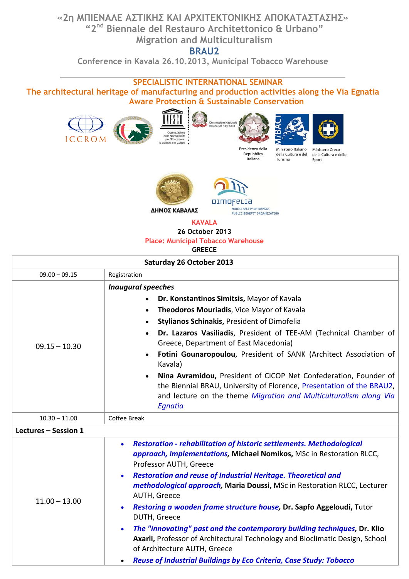## **«2η ΜΠΙΕΝΑΛΕ ΑΣΤΙΚΗΣ ΚΑΙ AΡΧΙΤΕΚΤΟΝΙΚΗΣ ΑΠΟΚΑΤΑΣΤΑΣΗΣ» "2nd Biennale del Restauro Architettonico & Urbano" Migration and Multiculturalism**

**BRAU2**

**Conference in Kavala 26.10.2013, Municipal Tobacco Warehouse**

## **SPECIALISTIC INTERNATIONAL SEMINAR**

**The architectural heritage of manufacturing and production activities along the Via Egnatia Aware Protection & Sustainable Conservation**







H<br>MUNICIPALITY OF KAVALA<br>PUBLIC BENEFIT ORGANIZATION

**KAVALA**

**26 October 2013** 

## **Place: Municipal Tobacco Warehouse**

**GREECE**

| <b>Saturday 26 October 2013</b> |                                                                                                                                                                                                                                                                                                                                                                                                                                                                                                                                                                                                                                                                                                                                                                       |  |
|---------------------------------|-----------------------------------------------------------------------------------------------------------------------------------------------------------------------------------------------------------------------------------------------------------------------------------------------------------------------------------------------------------------------------------------------------------------------------------------------------------------------------------------------------------------------------------------------------------------------------------------------------------------------------------------------------------------------------------------------------------------------------------------------------------------------|--|
| $09.00 - 09.15$                 | Registration                                                                                                                                                                                                                                                                                                                                                                                                                                                                                                                                                                                                                                                                                                                                                          |  |
| $09.15 - 10.30$                 | <b>Inaugural speeches</b><br>Dr. Konstantinos Simitsis, Mayor of Kavala<br>$\bullet$<br>Theodoros Mouriadis, Vice Mayor of Kavala<br>$\bullet$<br>Stylianos Schinakis, President of Dimofelia<br>Dr. Lazaros Vasiliadis, President of TEE-AM (Technical Chamber of<br>Greece, Department of East Macedonia)<br>Fotini Gounaropoulou, President of SANK (Architect Association of<br>Kavala)<br>Nina Avramidou, President of CICOP Net Confederation, Founder of<br>$\bullet$<br>the Biennial BRAU, University of Florence, Presentation of the BRAU2,<br>and lecture on the theme Migration and Multiculturalism along Via<br>Egnatia                                                                                                                                 |  |
| $10.30 - 11.00$                 | Coffee Break                                                                                                                                                                                                                                                                                                                                                                                                                                                                                                                                                                                                                                                                                                                                                          |  |
| Lectures - Session 1            |                                                                                                                                                                                                                                                                                                                                                                                                                                                                                                                                                                                                                                                                                                                                                                       |  |
| $11.00 - 13.00$                 | <b>Restoration - rehabilitation of historic settlements. Methodological</b><br>$\bullet$<br>approach, implementations, Michael Nomikos, MSc in Restoration RLCC,<br>Professor AUTH, Greece<br>Restoration and reuse of Industrial Heritage. Theoretical and<br>$\bullet$<br>methodological approach, Maria Doussi, MSc in Restoration RLCC, Lecturer<br>AUTH, Greece<br>Restoring a wooden frame structure house, Dr. Sapfo Aggeloudi, Tutor<br>$\bullet$<br>DUTH, Greece<br>The "innovating" past and the contemporary building techniques, Dr. Klio<br>$\bullet$<br>Axarli, Professor of Architectural Technology and Bioclimatic Design, School<br>of Architecture AUTH, Greece<br>Reuse of Industrial Buildings by Eco Criteria, Case Study: Tobacco<br>$\bullet$ |  |